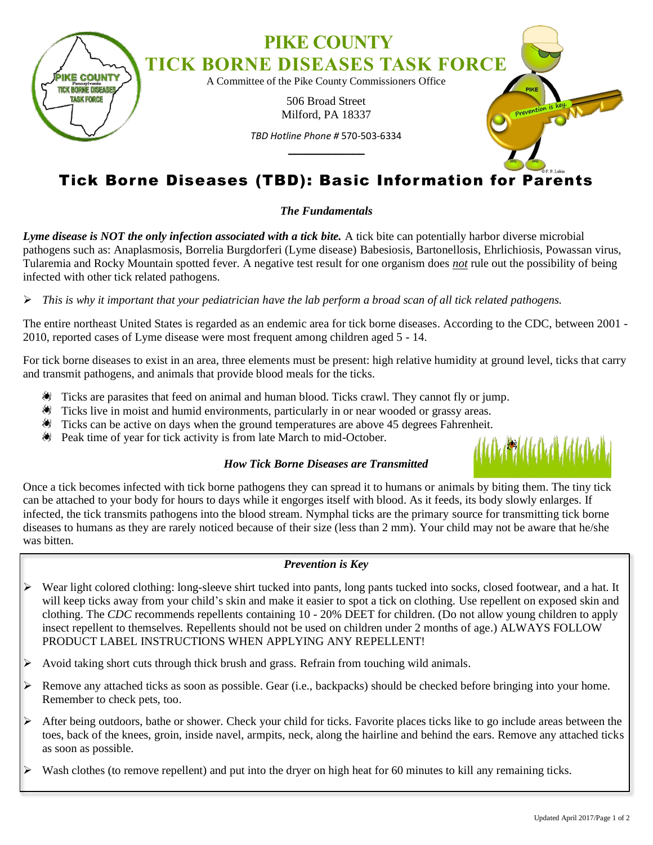

# Tick Borne Diseases (TBD): Basic Information for Parents

## *The Fundamentals*

*Lyme disease is NOT the only infection associated with a tick bite.* A tick bite can potentially harbor diverse microbial pathogens such as: Anaplasmosis, Borrelia Burgdorferi (Lyme disease) Babesiosis, Bartonellosis, Ehrlichiosis, Powassan virus, Tularemia and Rocky Mountain spotted fever. A negative test result for one organism does *not* rule out the possibility of being infected with other tick related pathogens.

### *This is why it important that your pediatrician have the lab perform a broad scan of all tick related pathogens.*

The entire northeast United States is regarded as an endemic area for tick borne diseases. According to the CDC, between 2001 - 2010, reported cases of Lyme disease were most frequent among children aged 5 - 14.

For tick borne diseases to exist in an area, three elements must be present: high relative humidity at ground level, ticks that carry and transmit pathogens, and animals that provide blood meals for the ticks.

- Ticks are parasites that feed on animal and human blood. Ticks crawl. They cannot fly or jump.
- Ticks live in moist and humid environments, particularly in or near wooded or grassy areas.
- Ticks can be active on days when the ground temperatures are above 45 degrees Fahrenheit.
- Peak time of year for tick activity is from late March to mid-October.

### *How Tick Borne Diseases are Transmitted*

Once a tick becomes infected with tick borne pathogens they can spread it to humans or animals by biting them. The tiny tick can be attached to your body for hours to days while it engorges itself with blood. As it feeds, its body slowly enlarges. If infected, the tick transmits pathogens into the blood stream. Nymphal ticks are the primary source for transmitting tick borne diseases to humans as they are rarely noticed because of their size (less than 2 mm). Your child may not be aware that he/she was bitten.

#### *Prevention is Key*

- Wear light colored clothing: long-sleeve shirt tucked into pants, long pants tucked into socks, closed footwear, and a hat. It will keep ticks away from your child's skin and make it easier to spot a tick on clothing. Use repellent on exposed skin and clothing. The *CDC* recommends repellents containing 10 - 20% DEET for children. (Do not allow young children to apply insect repellent to themselves. Repellents should not be used on children under 2 months of age.) ALWAYS FOLLOW PRODUCT LABEL INSTRUCTIONS WHEN APPLYING ANY REPELLENT!
- Avoid taking short cuts through thick brush and grass. Refrain from touching wild animals.
- Remove any attached ticks as soon as possible. Gear (i.e., backpacks) should be checked before bringing into your home. Remember to check pets, too.
- After being outdoors, bathe or shower. Check your child for ticks. Favorite places ticks like to go include areas between the toes, back of the knees, groin, inside navel, armpits, neck, along the hairline and behind the ears. Remove any attached ticks as soon as possible.
- Wash clothes (to remove repellent) and put into the dryer on high heat for 60 minutes to kill any remaining ticks.